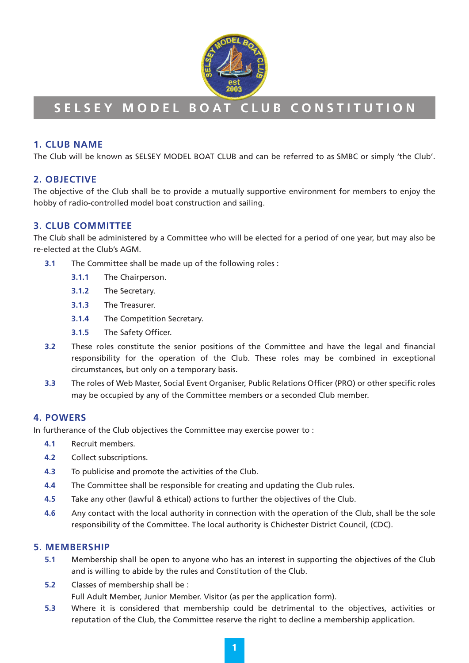

# **SELSEY MODEL BOAT CLUB CONSTITUTION**

# **1. CLUB NAME**

The Club will be known as SELSEY MODEL BOAT CLUB and can be referred to as SMBC or simply 'the Club'.

# **2. OBJECTIVE**

The objective of the Club shall be to provide a mutually supportive environment for members to enjoy the hobby of radio-controlled model boat construction and sailing.

# **3. CLUB COMMITTEE**

The Club shall be administered by a Committee who will be elected for a period of one year, but may also be re-elected at the Club's AGM.

- **3.1** The Committee shall be made up of the following roles :
	- **3.1.1** The Chairperson.
	- **3.1.2** The Secretary.
	- **3.1.3** The Treasurer.
	- **3.1.4** The Competition Secretary.
	- **3.1.5** The Safety Officer.
- **3.2** These roles constitute the senior positions of the Committee and have the legal and financial responsibility for the operation of the Club. These roles may be combined in exceptional circumstances, but only on a temporary basis.
- **3.3** The roles of Web Master, Social Event Organiser, Public Relations Officer (PRO) or other specific roles may be occupied by any of the Committee members or a seconded Club member.

## **4. POWERS**

In furtherance of the Club objectives the Committee may exercise power to :

- **4.1** Recruit members.
- **4.2** Collect subscriptions.
- **4.3** To publicise and promote the activities of the Club.
- **4.4** The Committee shall be responsible for creating and updating the Club rules.
- **4.5** Take any other (lawful & ethical) actions to further the objectives of the Club.
- **4.6** Any contact with the local authority in connection with the operation of the Club, shall be the sole responsibility of the Committee. The local authority is Chichester District Council, (CDC).

## **5. MEMBERSHIP**

- **5.1** Membership shall be open to anyone who has an interest in supporting the objectives of the Club and is willing to abide by the rules and Constitution of the Club.
- **5.2** Classes of membership shall be :

Full Adult Member, Junior Member. Visitor (as per the application form).

**5.3** Where it is considered that membership could be detrimental to the objectives, activities or reputation of the Club, the Committee reserve the right to decline a membership application.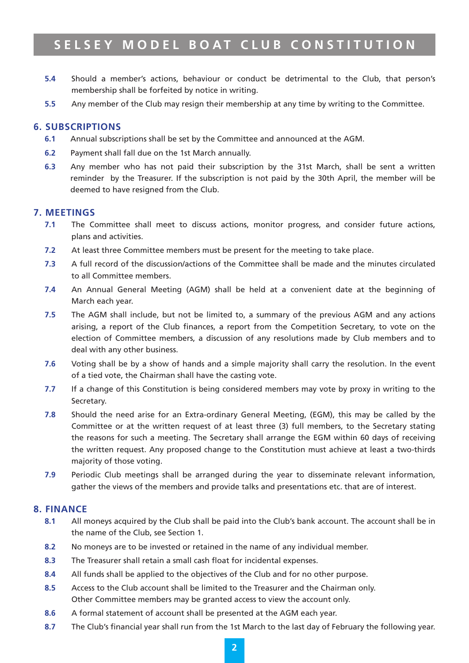# **SELSEY MODEL BOAT CLUB CONSTITUTION**

- **5.4** Should a member's actions, behaviour or conduct be detrimental to the Club, that person's membership shall be forfeited by notice in writing.
- **5.5** Any member of the Club may resign their membership at any time by writing to the Committee.

#### **6. SUBSCRIPTIONS**

- **6.1** Annual subscriptions shall be set by the Committee and announced at the AGM.
- **6.2** Payment shall fall due on the 1st March annually.
- **6.3** Any member who has not paid their subscription by the 31st March, shall be sent a written reminder by the Treasurer. If the subscription is not paid by the 30th April, the member will be deemed to have resigned from the Club.

#### **7. MEETINGS**

- **7.1** The Committee shall meet to discuss actions, monitor progress, and consider future actions, plans and activities.
- **7.2** At least three Committee members must be present for the meeting to take place.
- **7.3** A full record of the discussion/actions of the Committee shall be made and the minutes circulated to all Committee members.
- **7.4** An Annual General Meeting (AGM) shall be held at a convenient date at the beginning of March each year.
- **7.5** The AGM shall include, but not be limited to, a summary of the previous AGM and any actions arising, a report of the Club finances, a report from the Competition Secretary, to vote on the election of Committee members, a discussion of any resolutions made by Club members and to deal with any other business.
- **7.6** Voting shall be by a show of hands and a simple majority shall carry the resolution. In the event of a tied vote, the Chairman shall have the casting vote.
- **7.7** If a change of this Constitution is being considered members may vote by proxy in writing to the Secretary.
- **7.8** Should the need arise for an Extra-ordinary General Meeting, (EGM), this may be called by the Committee or at the written request of at least three (3) full members, to the Secretary stating the reasons for such a meeting. The Secretary shall arrange the EGM within 60 days of receiving the written request. Any proposed change to the Constitution must achieve at least a two-thirds majority of those voting.
- **7.9** Periodic Club meetings shall be arranged during the year to disseminate relevant information, gather the views of the members and provide talks and presentations etc. that are of interest.

#### **8. FINANCE**

- **8.1** All moneys acquired by the Club shall be paid into the Club's bank account. The account shall be in the name of the Club, see Section 1.
- **8.2** No moneys are to be invested or retained in the name of any individual member.
- **8.3** The Treasurer shall retain a small cash float for incidental expenses.
- **8.4** All funds shall be applied to the objectives of the Club and for no other purpose.
- **8.5** Access to the Club account shall be limited to the Treasurer and the Chairman only. Other Committee members may be granted access to view the account only.
- **8.6** A formal statement of account shall be presented at the AGM each year.
- **8.7** The Club's financial year shall run from the 1st March to the last day of February the following year.